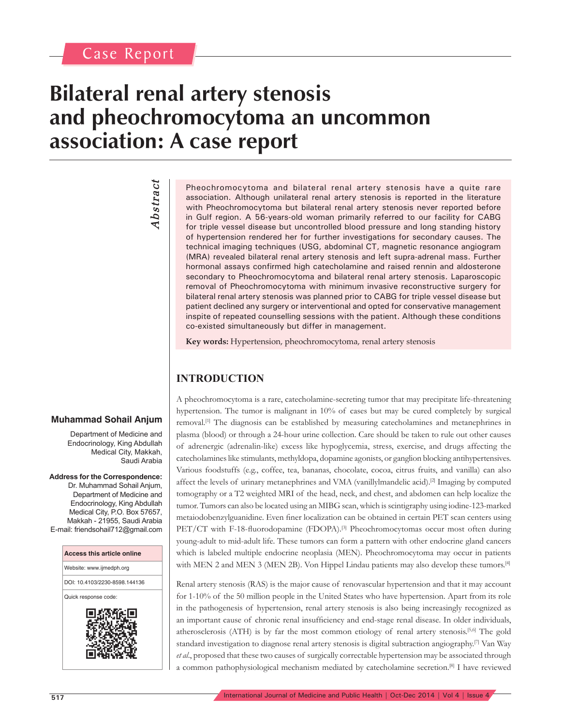## **Bilateral renal artery stenosis and pheochromocytoma an uncommon association: A case report**

# *Abstract* **Abstract**

Pheochromocytoma and bilateral renal artery stenosis have a quite rare association. Although unilateral renal artery stenosis is reported in the literature with Pheochromocytoma but bilateral renal artery stenosis never reported before in Gulf region. A 56-years-old woman primarily referred to our facility for CABG for triple vessel disease but uncontrolled blood pressure and long standing history of hypertension rendered her for further investigations for secondary causes. The technical imaging techniques (USG, abdominal CT, magnetic resonance angiogram (MRA) revealed bilateral renal artery stenosis and left supra-adrenal mass. Further hormonal assays confirmed high catecholamine and raised rennin and aldosterone secondary to Pheochromocytoma and bilateral renal artery stenosis. Laparoscopic removal of Pheochromocytoma with minimum invasive reconstructive surgery for bilateral renal artery stenosis was planned prior to CABG for triple vessel disease but patient declined any surgery or interventional and opted for conservative management inspite of repeated counselling sessions with the patient. Although these conditions co-existed simultaneously but differ in management.

**Key words:** Hypertension, pheochromocytoma, renal artery stenosis

### **INTRODUCTION**

A pheochromocytoma is a rare, catecholamine-secreting tumor that may precipitate life-threatening hypertension. The tumor is malignant in 10% of cases but may be cured completely by surgical removal.[1] The diagnosis can be established by measuring catecholamines and metanephrines in plasma (blood) or through a 24-hour urine collection. Care should be taken to rule out other causes of adrenergic (adrenalin-like) excess like hypoglycemia, stress, exercise, and drugs affecting the catecholamines like stimulants, methyldopa, dopamine agonists, or ganglion blocking antihypertensives. Various foodstuffs (e.g., coffee, tea, bananas, chocolate, cocoa, citrus fruits, and vanilla) can also affect the levels of urinary metanephrines and VMA (vanillylmandelic acid).<sup>[2]</sup> Imaging by computed tomography or a T2 weighted MRI of the head, neck, and chest, and abdomen can help localize the tumor. Tumors can also be located using an MIBG scan, which is scintigraphy using iodine-123-marked metaiodobenzylguanidine. Even finer localization can be obtained in certain PET scan centers using PET/CT with F-18-fluorodopamine (FDOPA).<sup>[3]</sup> Pheochromocytomas occur most often during young-adult to mid-adult life. These tumors can form a pattern with other endocrine gland cancers which is labeled multiple endocrine neoplasia (MEN). Pheochromocytoma may occur in patients with MEN 2 and MEN 3 (MEN 2B). Von Hippel Lindau patients may also develop these tumors.<sup>[4]</sup>

Renal artery stenosis (RAS) is the major cause of renovascular hypertension and that it may account for 1-10% of the 50 million people in the United States who have hypertension. Apart from its role in the pathogenesis of hypertension, renal artery stenosis is also being increasingly recognized as an important cause of chronic renal insufficiency and end-stage renal disease. In older individuals, atherosclerosis (ATH) is by far the most common etiology of renal artery stenosis.[5,6] The gold standard investigation to diagnose renal artery stenosis is digital subtraction angiography.[7] Van Way *et al*., proposed that these two causes of surgically correctable hypertension may be associated through a common pathophysiological mechanism mediated by catecholamine secretion.[8] I have reviewed

#### **Muhammad Sohail Anjum**

Department of Medicine and Endocrinology, King Abdullah Medical City, Makkah, Saudi Arabia

**Address for the Correspondence:** Dr. Muhammad Sohail Anjum, Department of Medicine and Endocrinology, King Abdullah Medical City, P.O. Box 57657, Makkah - 21955, Saudi Arabia E-mail: friendsohail712@gmail.com

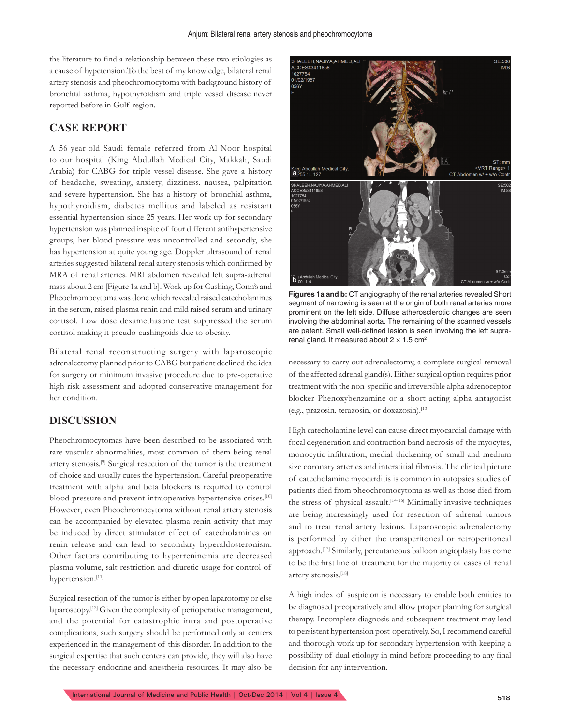the literature to find a relationship between these two etiologies as a cause of hypetension.To the best of my knowledge, bilateral renal artery stenosis and pheochromocytoma with background history of bronchial asthma, hypothyroidism and triple vessel disease never reported before in Gulf region.

#### **CASE REPORT**

A 56-year-old Saudi female referred from Al-Noor hospital to our hospital (King Abdullah Medical City, Makkah, Saudi Arabia) for CABG for triple vessel disease. She gave a history of headache, sweating, anxiety, dizziness, nausea, palpitation and severe hypertension. She has a history of bronchial asthma, hypothyroidism, diabetes mellitus and labeled as resistant essential hypertension since 25 years. Her work up for secondary hypertension was planned inspite of four different antihypertensive groups, her blood pressure was uncontrolled and secondly, she has hypertension at quite young age. Doppler ultrasound of renal arteries suggested bilateral renal artery stenosis which confirmed by MRA of renal arteries. MRI abdomen revealed left supra-adrenal mass about 2 cm [Figure 1a and b]. Work up for Cushing, Conn's and Pheochromocytoma was done which revealed raised catecholamines in the serum, raised plasma renin and mild raised serum and urinary cortisol. Low dose dexamethasone test suppressed the serum cortisol making it pseudo-cushingoids due to obesity.

Bilateral renal reconstructing surgery with laparoscopic adrenalectomy planned prior to CABG but patient declined the idea for surgery or minimum invasive procedure due to pre-operative high risk assessment and adopted conservative management for her condition.

#### **DISCUSSION**

Pheochromocytomas have been described to be associated with rare vascular abnormalities, most common of them being renal artery stenosis.[9] Surgical resection of the tumor is the treatment of choice and usually cures the hypertension. Careful preoperative treatment with alpha and beta blockers is required to control blood pressure and prevent intraoperative hypertensive crises.[10] However, even Pheochromocytoma without renal artery stenosis can be accompanied by elevated plasma renin activity that may be induced by direct stimulator effect of catecholamines on renin release and can lead to secondary hyperaldosteronism. Other factors contributing to hyperreninemia are decreased plasma volume, salt restriction and diuretic usage for control of hypertension.[11]

Surgical resection of the tumor is either by open laparotomy or else laparoscopy.[12] Given the complexity of perioperative management, and the potential for catastrophic intra and postoperative complications, such surgery should be performed only at centers experienced in the management of this disorder. In addition to the surgical expertise that such centers can provide, they will also have the necessary endocrine and anesthesia resources. It may also be



**Figures 1a and b:** CT angiography of the renal arteries revealed Short segment of narrowing is seen at the origin of both renal arteries more prominent on the left side. Diffuse atherosclerotic changes are seen involving the abdominal aorta. The remaining of the scanned vessels are patent. Small well-defined lesion is seen involving the left suprarenal gland. It measured about  $2 \times 1.5$  cm<sup>2</sup>

necessary to carry out adrenalectomy, a complete surgical removal of the affected adrenal gland(s). Either surgical option requires prior treatment with the non-specific and irreversible alpha adrenoceptor blocker Phenoxybenzamine or a short acting alpha antagonist (e.g., prazosin, terazosin, or doxazosin).[13]

High catecholamine level can cause direct myocardial damage with focal degeneration and contraction band necrosis of the myocytes, monocytic infiltration, medial thickening of small and medium size coronary arteries and interstitial fibrosis. The clinical picture of catecholamine myocarditis is common in autopsies studies of patients died from pheochromocytoma as well as those died from the stress of physical assault.<sup>[14-16]</sup> Minimally invasive techniques are being increasingly used for resection of adrenal tumors and to treat renal artery lesions. Laparoscopic adrenalectomy is performed by either the transperitoneal or retroperitoneal approach.[17] Similarly, percutaneous balloon angioplasty has come to be the first line of treatment for the majority of cases of renal artery stenosis.[18]

A high index of suspicion is necessary to enable both entities to be diagnosed preoperatively and allow proper planning for surgical therapy. Incomplete diagnosis and subsequent treatment may lead to persistent hypertension post-operatively. So, I recommend careful and thorough work up for secondary hypertension with keeping a possibility of dual etiology in mind before proceeding to any final decision for any intervention.